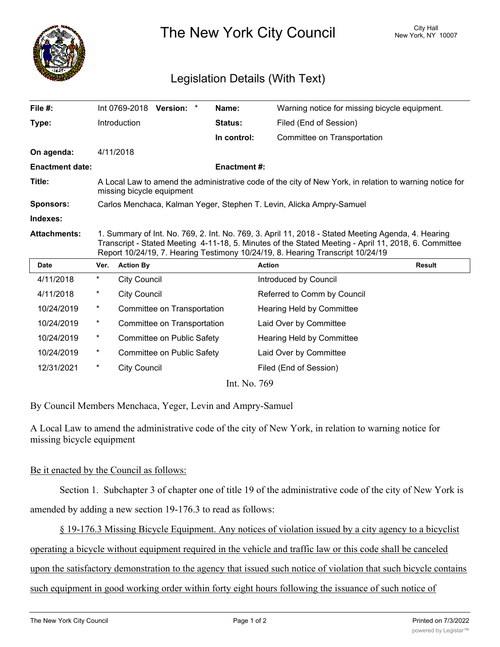

The New York City Council New York, NY 10007

## Legislation Details (With Text)

| File #:                |                                                                                                                                                                                                                                                                                              |                     | Int 0769-2018 Version: *    |  | Name:          | Warning notice for missing bicycle equipment. |               |
|------------------------|----------------------------------------------------------------------------------------------------------------------------------------------------------------------------------------------------------------------------------------------------------------------------------------------|---------------------|-----------------------------|--|----------------|-----------------------------------------------|---------------|
| Type:                  |                                                                                                                                                                                                                                                                                              | Introduction        |                             |  | <b>Status:</b> | Filed (End of Session)                        |               |
|                        |                                                                                                                                                                                                                                                                                              |                     |                             |  | In control:    | Committee on Transportation                   |               |
| On agenda:             |                                                                                                                                                                                                                                                                                              | 4/11/2018           |                             |  |                |                                               |               |
| <b>Enactment date:</b> | <b>Enactment #:</b>                                                                                                                                                                                                                                                                          |                     |                             |  |                |                                               |               |
| Title:                 | A Local Law to amend the administrative code of the city of New York, in relation to warning notice for<br>missing bicycle equipment                                                                                                                                                         |                     |                             |  |                |                                               |               |
| <b>Sponsors:</b>       | Carlos Menchaca, Kalman Yeger, Stephen T. Levin, Alicka Ampry-Samuel                                                                                                                                                                                                                         |                     |                             |  |                |                                               |               |
| Indexes:               |                                                                                                                                                                                                                                                                                              |                     |                             |  |                |                                               |               |
| <b>Attachments:</b>    | 1. Summary of Int. No. 769, 2. Int. No. 769, 3. April 11, 2018 - Stated Meeting Agenda, 4. Hearing<br>Transcript - Stated Meeting 4-11-18, 5. Minutes of the Stated Meeting - April 11, 2018, 6. Committee<br>Report 10/24/19, 7. Hearing Testimony 10/24/19, 8. Hearing Transcript 10/24/19 |                     |                             |  |                |                                               |               |
| <b>Date</b>            | Ver.                                                                                                                                                                                                                                                                                         | <b>Action By</b>    |                             |  |                | <b>Action</b>                                 | <b>Result</b> |
| 4/11/2018              | *                                                                                                                                                                                                                                                                                            | <b>City Council</b> |                             |  |                | Introduced by Council                         |               |
| 4/11/2018              | *                                                                                                                                                                                                                                                                                            | <b>City Council</b> |                             |  |                | Referred to Comm by Council                   |               |
| 10/24/2019             | $^\star$                                                                                                                                                                                                                                                                                     |                     | Committee on Transportation |  |                | Hearing Held by Committee                     |               |
| 10/24/2019             | $^\star$                                                                                                                                                                                                                                                                                     |                     | Committee on Transportation |  |                | Laid Over by Committee                        |               |
| 10/24/2019             | *                                                                                                                                                                                                                                                                                            |                     | Committee on Public Safety  |  |                | Hearing Held by Committee                     |               |
| 10/24/2019             | *                                                                                                                                                                                                                                                                                            |                     | Committee on Public Safety  |  |                | Laid Over by Committee                        |               |

Int. No. 769

By Council Members Menchaca, Yeger, Levin and Ampry-Samuel

12/31/2021 \* City Council Council Filed (End of Session)

A Local Law to amend the administrative code of the city of New York, in relation to warning notice for missing bicycle equipment

## Be it enacted by the Council as follows:

Section 1. Subchapter 3 of chapter one of title 19 of the administrative code of the city of New York is

amended by adding a new section 19-176.3 to read as follows:

§ 19-176.3 Missing Bicycle Equipment. Any notices of violation issued by a city agency to a bicyclist

operating a bicycle without equipment required in the vehicle and traffic law or this code shall be canceled

upon the satisfactory demonstration to the agency that issued such notice of violation that such bicycle contains

such equipment in good working order within forty eight hours following the issuance of such notice of